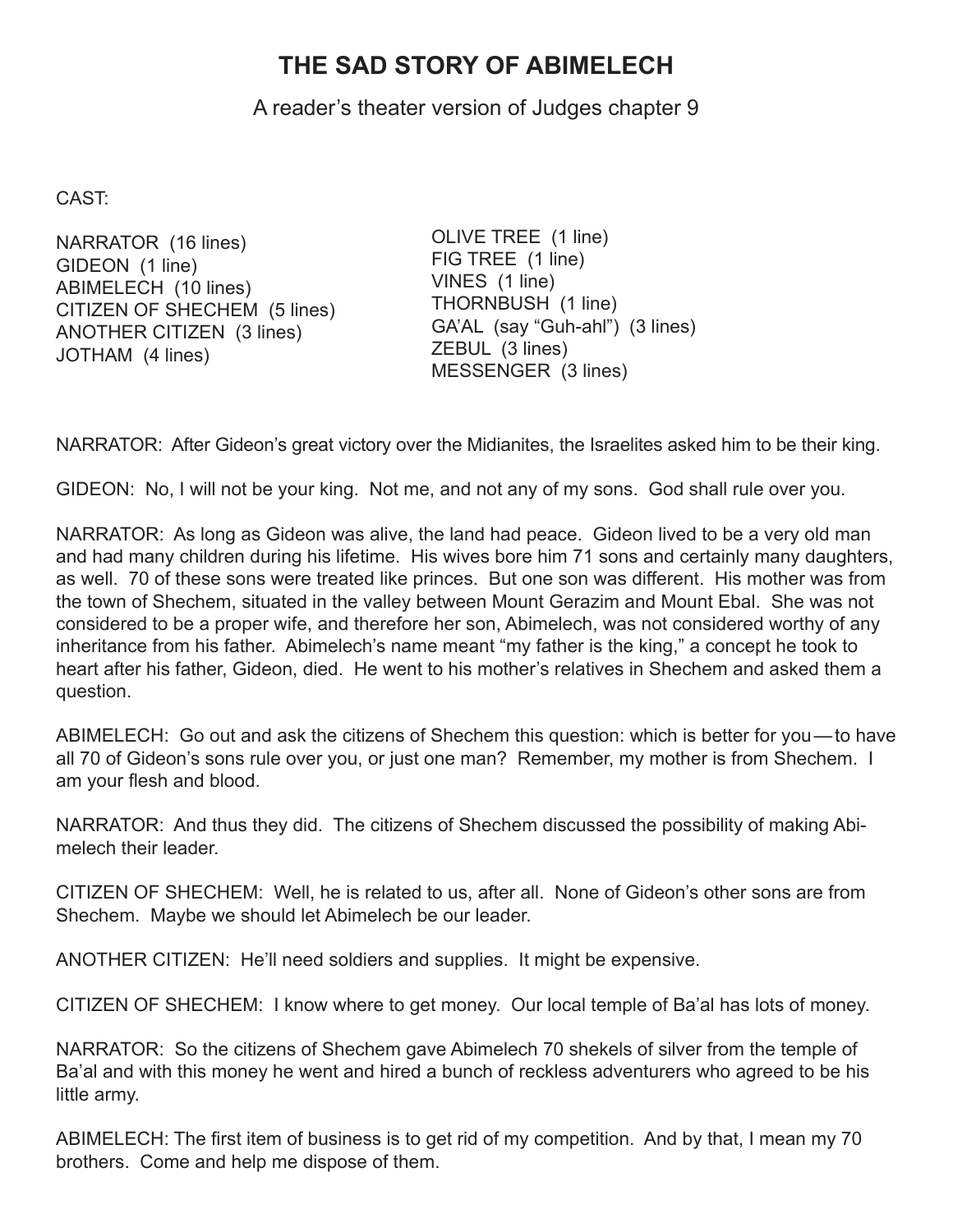## **THE SAD STORY OF ABIMELECH**

A reader's theater version of Judges chapter 9

CAST:

NARRATOR (16 lines) GIDEON (1 line) ABIMELECH (10 lines) CITIZEN OF SHECHEM (5 lines) ANOTHER CITIZEN (3 lines) JOTHAM (4 lines)

OLIVE TREE (1 line) FIG TREE (1 line) VINES (1 line) THORNBUSH (1 line) GA'AL (say "Guh-ahl") (3 lines) ZEBUL (3 lines) MESSENGER (3 lines)

NARRATOR: After Gideon's great victory over the Midianites, the Israelites asked him to be their king.

GIDEON: No, I will not be your king. Not me, and not any of my sons. God shall rule over you.

NARRATOR: As long as Gideon was alive, the land had peace. Gideon lived to be a very old man and had many children during his lifetime. His wives bore him 71 sons and certainly many daughters, as well. 70 of these sons were treated like princes. But one son was different. His mother was from the town of Shechem, situated in the valley between Mount Gerazim and Mount Ebal. She was not considered to be a proper wife, and therefore her son, Abimelech, was not considered worthy of any inheritance from his father. Abimelech's name meant "my father is the king," a concept he took to heart after his father, Gideon, died. He went to his mother's relatives in Shechem and asked them a question.

ABIMELECH: Go out and ask the citizens of Shechem this question: which is better for you—to have all 70 of Gideon's sons rule over you, or just one man? Remember, my mother is from Shechem. I am your flesh and blood.

NARRATOR: And thus they did. The citizens of Shechem discussed the possibility of making Abimelech their leader.

CITIZEN OF SHECHEM: Well, he is related to us, after all. None of Gideon's other sons are from Shechem. Maybe we should let Abimelech be our leader.

ANOTHER CITIZEN: He'll need soldiers and supplies. It might be expensive.

CITIZEN OF SHECHEM: I know where to get money. Our local temple of Ba'al has lots of money.

NARRATOR: So the citizens of Shechem gave Abimelech 70 shekels of silver from the temple of Ba'al and with this money he went and hired a bunch of reckless adventurers who agreed to be his little army.

ABIMELECH: The first item of business is to get rid of my competition. And by that, I mean my 70 brothers. Come and help me dispose of them.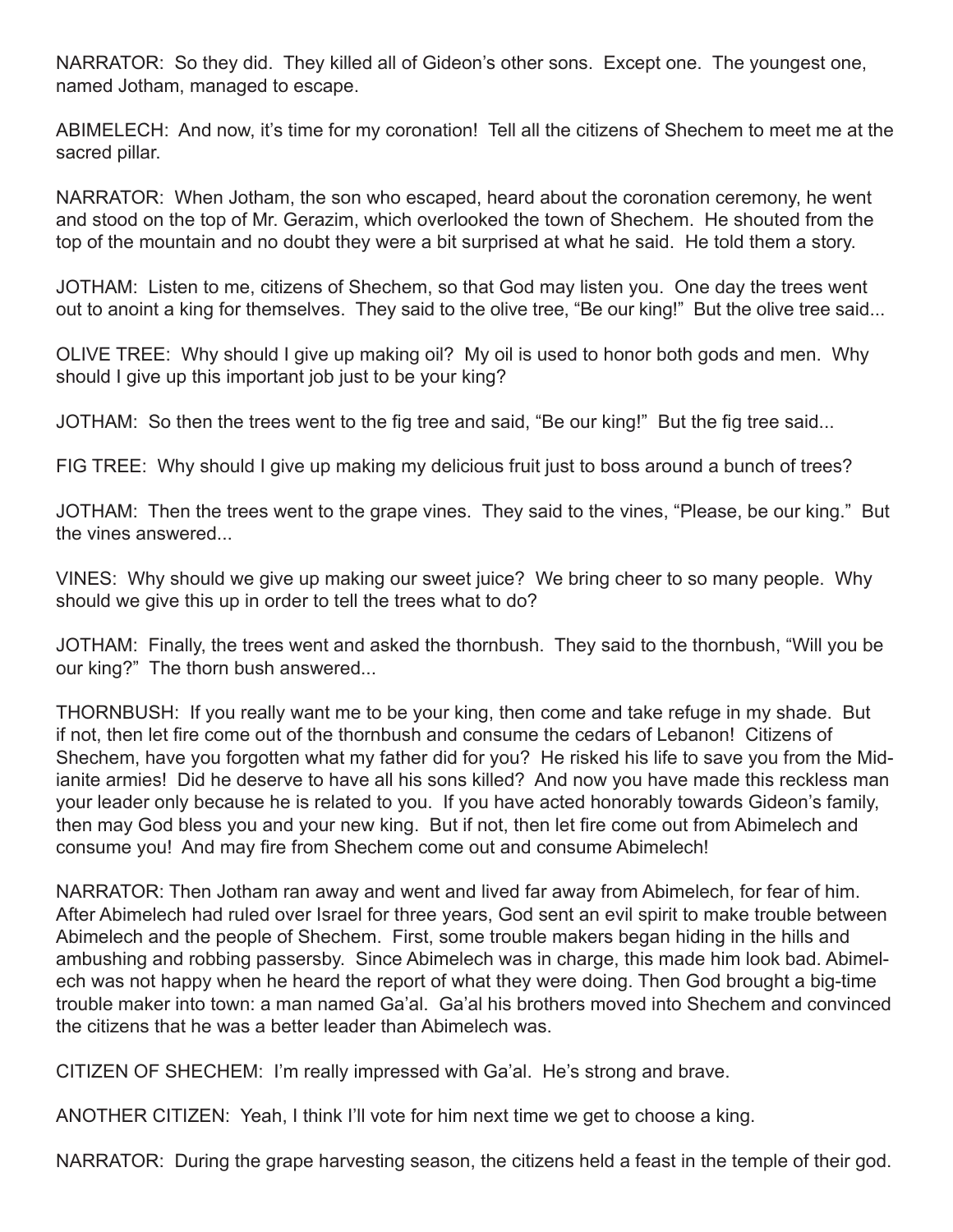NARRATOR: So they did. They killed all of Gideon's other sons. Except one. The youngest one, named Jotham, managed to escape.

ABIMELECH: And now, it's time for my coronation! Tell all the citizens of Shechem to meet me at the sacred pillar.

NARRATOR: When Jotham, the son who escaped, heard about the coronation ceremony, he went and stood on the top of Mr. Gerazim, which overlooked the town of Shechem. He shouted from the top of the mountain and no doubt they were a bit surprised at what he said. He told them a story.

JOTHAM: Listen to me, citizens of Shechem, so that God may listen you. One day the trees went out to anoint a king for themselves. They said to the olive tree, "Be our king!" But the olive tree said...

OLIVE TREE: Why should I give up making oil? My oil is used to honor both gods and men. Why should I give up this important job just to be your king?

JOTHAM: So then the trees went to the fig tree and said, "Be our king!" But the fig tree said...

FIG TREE: Why should I give up making my delicious fruit just to boss around a bunch of trees?

JOTHAM: Then the trees went to the grape vines. They said to the vines, "Please, be our king." But the vines answered...

VINES: Why should we give up making our sweet juice? We bring cheer to so many people. Why should we give this up in order to tell the trees what to do?

JOTHAM: Finally, the trees went and asked the thornbush. They said to the thornbush, "Will you be our king?" The thorn bush answered...

THORNBUSH: If you really want me to be your king, then come and take refuge in my shade. But if not, then let fire come out of the thornbush and consume the cedars of Lebanon! Citizens of Shechem, have you forgotten what my father did for you? He risked his life to save you from the Midianite armies! Did he deserve to have all his sons killed? And now you have made this reckless man your leader only because he is related to you. If you have acted honorably towards Gideon's family, then may God bless you and your new king. But if not, then let fire come out from Abimelech and consume you! And may fire from Shechem come out and consume Abimelech!

NARRATOR: Then Jotham ran away and went and lived far away from Abimelech, for fear of him. After Abimelech had ruled over Israel for three years, God sent an evil spirit to make trouble between Abimelech and the people of Shechem. First, some trouble makers began hiding in the hills and ambushing and robbing passersby. Since Abimelech was in charge, this made him look bad. Abimelech was not happy when he heard the report of what they were doing. Then God brought a big-time trouble maker into town: a man named Ga'al. Ga'al his brothers moved into Shechem and convinced the citizens that he was a better leader than Abimelech was.

CITIZEN OF SHECHEM: I'm really impressed with Ga'al. He's strong and brave.

ANOTHER CITIZEN: Yeah, I think I'll vote for him next time we get to choose a king.

NARRATOR: During the grape harvesting season, the citizens held a feast in the temple of their god.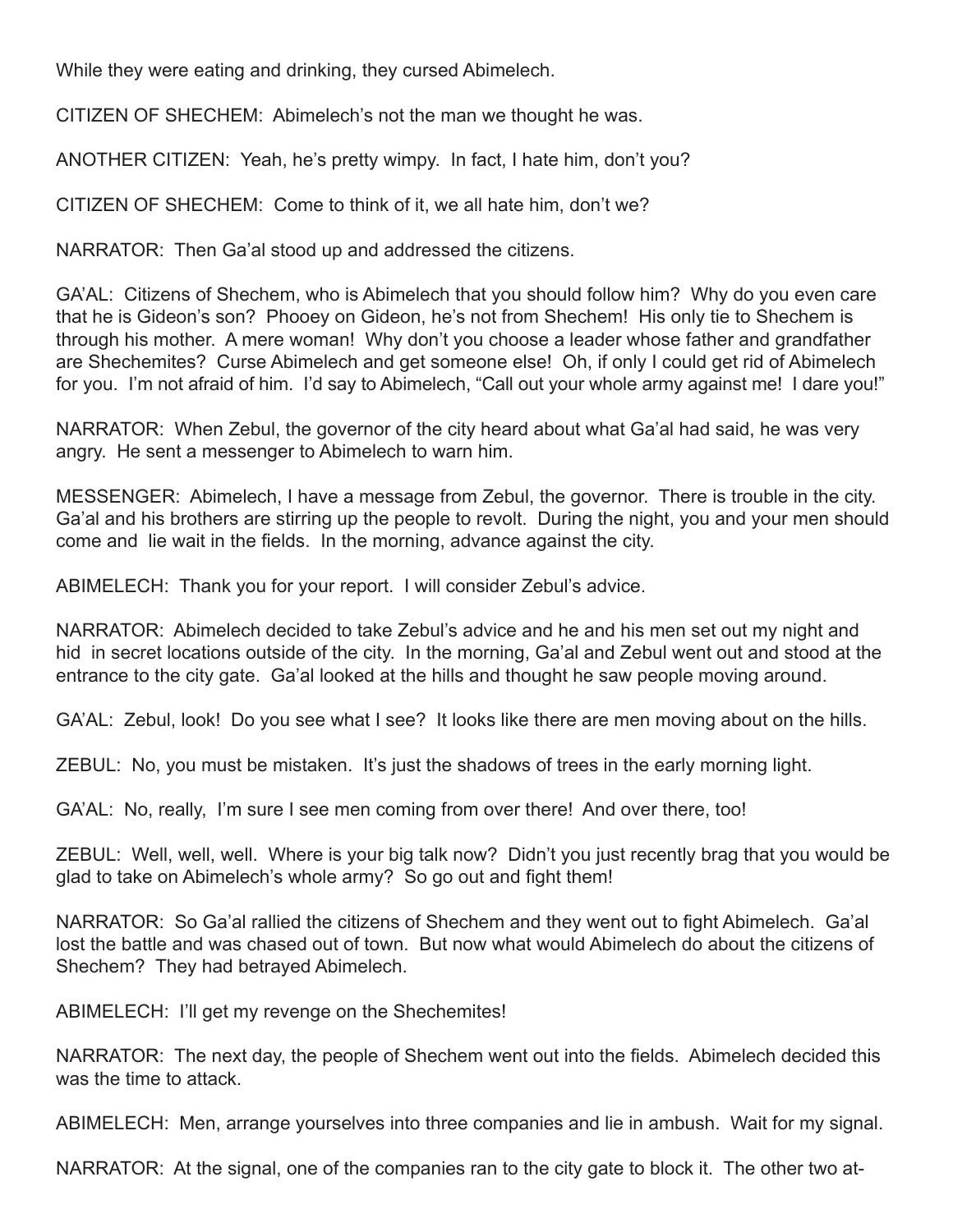While they were eating and drinking, they cursed Abimelech.

CITIZEN OF SHECHEM: Abimelech's not the man we thought he was.

ANOTHER CITIZEN: Yeah, he's pretty wimpy. In fact, I hate him, don't you?

CITIZEN OF SHECHEM: Come to think of it, we all hate him, don't we?

NARRATOR: Then Ga'al stood up and addressed the citizens.

GA'AL: Citizens of Shechem, who is Abimelech that you should follow him? Why do you even care that he is Gideon's son? Phooey on Gideon, he's not from Shechem! His only tie to Shechem is through his mother. A mere woman! Why don't you choose a leader whose father and grandfather are Shechemites? Curse Abimelech and get someone else! Oh, if only I could get rid of Abimelech for you. I'm not afraid of him. I'd say to Abimelech, "Call out your whole army against me! I dare you!"

NARRATOR: When Zebul, the governor of the city heard about what Ga'al had said, he was very angry. He sent a messenger to Abimelech to warn him.

MESSENGER: Abimelech, I have a message from Zebul, the governor. There is trouble in the city. Ga'al and his brothers are stirring up the people to revolt. During the night, you and your men should come and lie wait in the fields. In the morning, advance against the city.

ABIMELECH: Thank you for your report. I will consider Zebul's advice.

NARRATOR: Abimelech decided to take Zebul's advice and he and his men set out my night and hid in secret locations outside of the city. In the morning, Ga'al and Zebul went out and stood at the entrance to the city gate. Ga'al looked at the hills and thought he saw people moving around.

GA'AL: Zebul, look! Do you see what I see? It looks like there are men moving about on the hills.

ZEBUL: No, you must be mistaken. It's just the shadows of trees in the early morning light.

GA'AL: No, really, I'm sure I see men coming from over there! And over there, too!

ZEBUL: Well, well, well. Where is your big talk now? Didn't you just recently brag that you would be glad to take on Abimelech's whole army? So go out and fight them!

NARRATOR: So Ga'al rallied the citizens of Shechem and they went out to fight Abimelech. Ga'al lost the battle and was chased out of town. But now what would Abimelech do about the citizens of Shechem? They had betrayed Abimelech.

ABIMELECH: I'll get my revenge on the Shechemites!

NARRATOR: The next day, the people of Shechem went out into the fields. Abimelech decided this was the time to attack.

ABIMELECH: Men, arrange yourselves into three companies and lie in ambush. Wait for my signal.

NARRATOR: At the signal, one of the companies ran to the city gate to block it. The other two at-